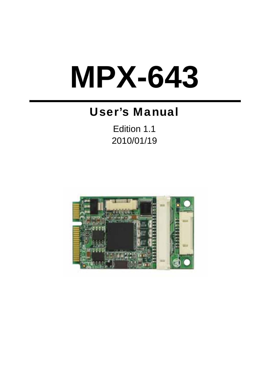# **MPX-643**

# User's Manual

Edition 1.1 2010/01/19

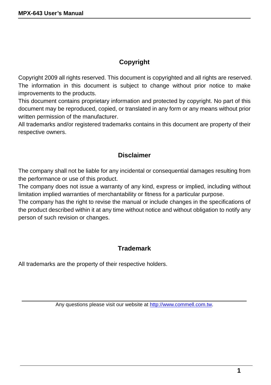#### **Copyright**

Copyright 2009 all rights reserved. This document is copyrighted and all rights are reserved. The information in this document is subject to change without prior notice to make improvements to the products.

This document contains proprietary information and protected by copyright. No part of this document may be reproduced, copied, or translated in any form or any means without prior written permission of the manufacturer.

All trademarks and/or registered trademarks contains in this document are property of their respective owners.

#### **Disclaimer**

The company shall not be liable for any incidental or consequential damages resulting from the performance or use of this product.

The company does not issue a warranty of any kind, express or implied, including without limitation implied warranties of merchantability or fitness for a particular purpose.

The company has the right to revise the manual or include changes in the specifications of the product described within it at any time without notice and without obligation to notify any person of such revision or changes.

#### **Trademark**

All trademarks are the property of their respective holders.

Any questions please visit our website at http://www.commell.com.tw.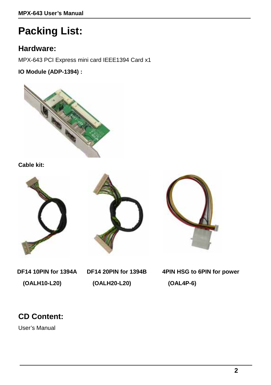# **Packing List:**

#### **Hardware:**

MPX-643 PCI Express mini card IEEE1394 Card x1

**IO Module (ADP-1394) :** 



**Cable kit:** 







**DF14 10PIN for 1394A (OALH10-L20)**

**DF14 20PIN for 1394B (OALH20-L20)**

**4PIN HSG to 6PIN for power (OAL4P-6)**

## **CD Content:**

User's Manual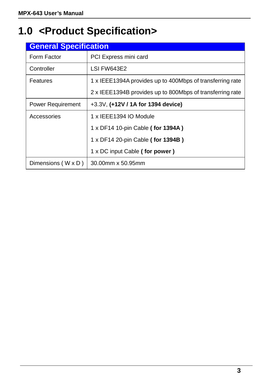# **1.0 <Product Specification>**

| <b>General Specification</b> |                                                           |
|------------------------------|-----------------------------------------------------------|
| Form Factor                  | PCI Express mini card                                     |
| Controller                   | LSI FW643E2                                               |
| Features                     | 1 x IEEE1394A provides up to 400Mbps of transferring rate |
|                              | 2 x IEEE1394B provides up to 800Mbps of transferring rate |
| <b>Power Requirement</b>     | +3.3V, (+12V / 1A for 1394 device)                        |
| Accessories                  | 1 x IEEE1394 IO Module                                    |
|                              | 1 x DF14 10-pin Cable (for 1394A)                         |
|                              | 1 x DF14 20-pin Cable (for 1394B)                         |
|                              | 1 x DC input Cable (for power)                            |
| Dimensions $(W \times D)$    | 30.00mm x 50.95mm                                         |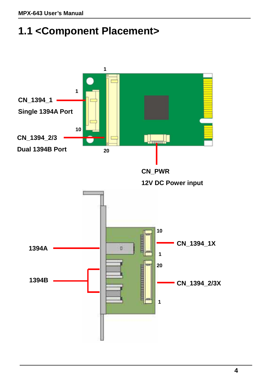# **1.1 <Component Placement>**

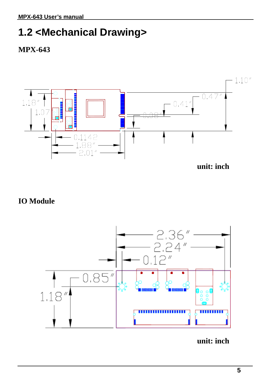## **1.2 <Mechanical Drawing>**





**unit: inch**

## **IO Module**



**unit: inch**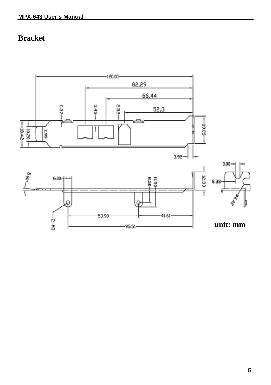## **Bracket**

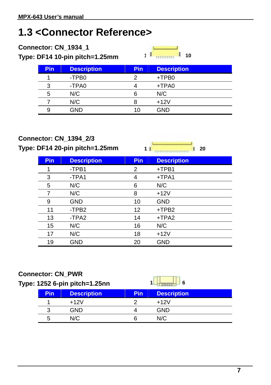## **1.3 <Connector Reference>**

| Connector: CN 1934 1<br>Type: DF14 10-pin pitch=1.25mm |            | 10<br>4            |            |                    |  |
|--------------------------------------------------------|------------|--------------------|------------|--------------------|--|
|                                                        | <b>Pin</b> | <b>Description</b> | <b>Pin</b> | <b>Description</b> |  |
|                                                        |            | -TPB <sub>0</sub>  | 2          | +TPB0              |  |
|                                                        | 3          | -TPA0              |            | +TPA0              |  |
|                                                        | 5          | N/C                | 6          | N/C                |  |
|                                                        |            | N/C                | я          | $+12V$             |  |
|                                                        | 9          | GND                | 10         | <b>GND</b>         |  |

#### **Connector: CN\_1394\_2/3**

**Type: DF14 20-pin pitch=1.25mm**

| 11 | $\blacksquare$ 20 |
|----|-------------------|
|    |                   |

J.

| <b>Pin</b> | <b>Description</b> | Pin | <b>Description</b> |
|------------|--------------------|-----|--------------------|
|            | -TPB1              | 2   | $+TPB1$            |
| 3          | -TPA1              | 4   | +TPA1              |
| 5          | N/C                | 6   | N/C                |
| 7          | N/C                | 8   | $+12V$             |
| 9          | <b>GND</b>         | 10  | <b>GND</b>         |
| 11         | -TPB <sub>2</sub>  | 12  | +TPB2              |
| 13         | -TPA2              | 14  | +TPA2              |
| 15         | N/C                | 16  | N/C                |
| 17         | N/C                | 18  | $+12V$             |
| 19         | <b>GND</b>         | 20  | <b>GND</b>         |

#### **Connector: CN\_PWR**

| Type: 1252 6-pin pitch=1.25nn |            |                    |            |                    |  |
|-------------------------------|------------|--------------------|------------|--------------------|--|
|                               | <b>Pin</b> | <b>Description</b> | <b>Pin</b> | <b>Description</b> |  |
|                               |            | $+12V$             |            | $+12V$             |  |
|                               | ว          | GND                |            | <b>GND</b>         |  |
|                               | h          | N/C                |            | N/C                |  |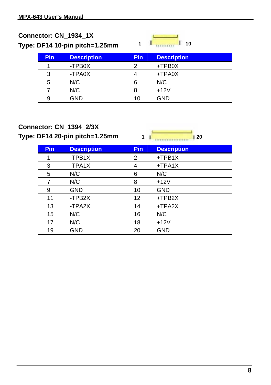| Connector: CN_1934_1X<br>Type: DF14 10-pin pitch=1.25mm |            | 1                  | 10         |                    |  |
|---------------------------------------------------------|------------|--------------------|------------|--------------------|--|
|                                                         | <b>Pin</b> | <b>Description</b> | <b>Pin</b> | <b>Description</b> |  |
|                                                         |            | -TPB0X             | 2          | +TPB0X             |  |
|                                                         |            | -TPA0X             |            | +TPA0X             |  |
|                                                         | 5          | N/C                | ิค         | N/C                |  |
|                                                         |            | N/C                | я          | $+12V$             |  |
|                                                         | я          | GND                | 10         | <b>GND</b>         |  |
|                                                         |            |                    |            |                    |  |

#### **Connector: CN\_1394\_2/3X**

**Type: DF14 20-pin pitch=1.25mm** 

**1 20**

| Pin | <b>Description</b> | <b>Pin</b> | <b>Description</b> |
|-----|--------------------|------------|--------------------|
|     | -TPB1X             | 2          | $+TPB1X$           |
| 3   | -TPA1X             | 4          | $+TPA1X$           |
| 5   | N/C                | 6          | N/C                |
| 7   | N/C                | 8          | $+12V$             |
| 9   | <b>GND</b>         | 10         | <b>GND</b>         |
| 11  | -TPB2X             | 12         | +TPB2X             |
| 13  | -TPA2X             | 14         | +TPA2X             |
| 15  | N/C                | 16         | N/C                |
| 17  | N/C                | 18         | $+12V$             |
| 19  | <b>GND</b>         | 20         | <b>GND</b>         |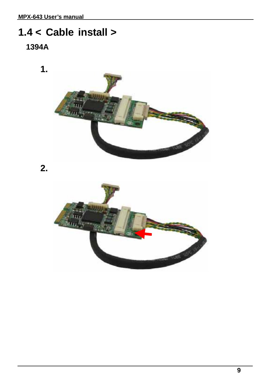# **1.4 < Cable install >**



**2.** 

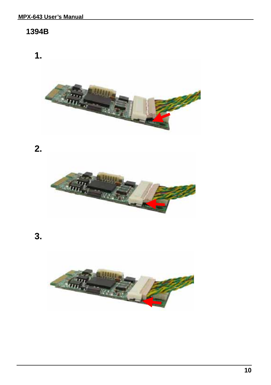#### **1394B**

**1.** 



**2.** 



**3.** 

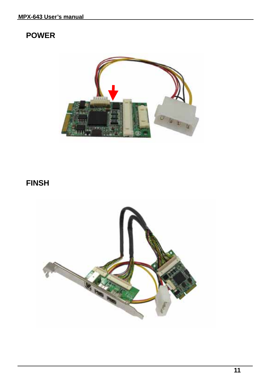### **POWER**



## **FINSH**